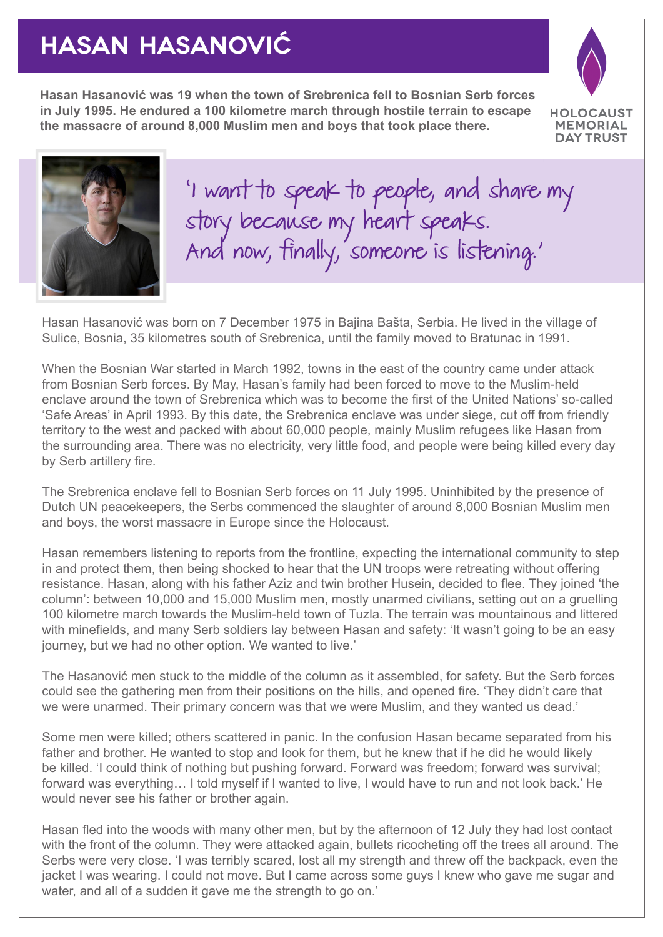## **HASAN HASANOVIĆ**

**Hasan Hasanović was 19 when the town of Srebrenica fell to Bosnian Serb forces in July 1995. He endured a 100 kilometre march through hostile terrain to escape the massacre of around 8,000 Muslim men and boys that took place there.**



**MEMORIAL DAY TRUST** 



'I want to speak to people, and share my story because my heart speaks. And now, finally, someone is listening.'

Hasan Hasanović was born on 7 December 1975 in Bajina Bašta, Serbia. He lived in the village of Sulice, Bosnia, 35 kilometres south of Srebrenica, until the family moved to Bratunac in 1991.

When the Bosnian War started in March 1992, towns in the east of the country came under attack from Bosnian Serb forces. By May, Hasan's family had been forced to move to the Muslim-held enclave around the town of Srebrenica which was to become the first of the United Nations' so-called 'Safe Areas' in April 1993. By this date, the Srebrenica enclave was under siege, cut off from friendly territory to the west and packed with about 60,000 people, mainly Muslim refugees like Hasan from the surrounding area. There was no electricity, very little food, and people were being killed every day by Serb artillery fire.

The Srebrenica enclave fell to Bosnian Serb forces on 11 July 1995. Uninhibited by the presence of Dutch UN peacekeepers, the Serbs commenced the slaughter of around 8,000 Bosnian Muslim men and boys, the worst massacre in Europe since the Holocaust.

Hasan remembers listening to reports from the frontline, expecting the international community to step in and protect them, then being shocked to hear that the UN troops were retreating without offering resistance. Hasan, along with his father Aziz and twin brother Husein, decided to flee. They joined 'the column': between 10,000 and 15,000 Muslim men, mostly unarmed civilians, setting out on a gruelling 100 kilometre march towards the Muslim-held town of Tuzla. The terrain was mountainous and littered with minefields, and many Serb soldiers lay between Hasan and safety: 'It wasn't going to be an easy journey, but we had no other option. We wanted to live.'

The Hasanović men stuck to the middle of the column as it assembled, for safety. But the Serb forces could see the gathering men from their positions on the hills, and opened fire. 'They didn't care that we were unarmed. Their primary concern was that we were Muslim, and they wanted us dead.'

Some men were killed; others scattered in panic. In the confusion Hasan became separated from his father and brother. He wanted to stop and look for them, but he knew that if he did he would likely be killed. 'I could think of nothing but pushing forward. Forward was freedom; forward was survival; forward was everything… I told myself if I wanted to live, I would have to run and not look back.' He would never see his father or brother again.

Hasan fled into the woods with many other men, but by the afternoon of 12 July they had lost contact with the front of the column. They were attacked again, bullets ricocheting off the trees all around. The Serbs were very close. 'I was terribly scared, lost all my strength and threw off the backpack, even the jacket I was wearing. I could not move. But I came across some guys I knew who gave me sugar and water, and all of a sudden it gave me the strength to go on.'